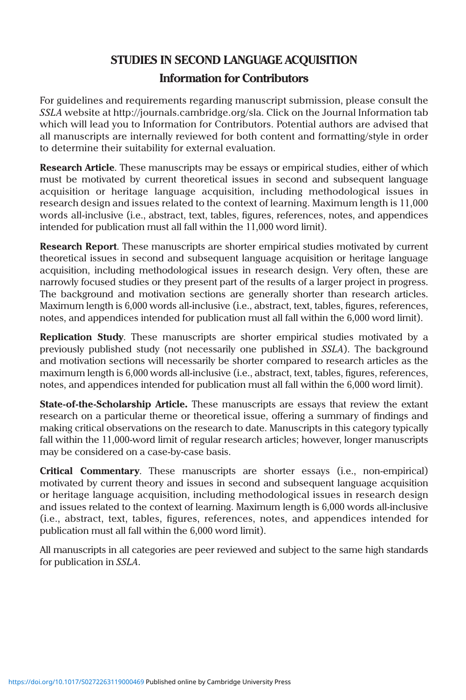## **STUDIES IN SECOND LANGUAGE ACQUISITION**

### **Information for Contributors**

For guidelines and requirements regarding manuscript submission, please consult the *SSLA* website at http://journals.cambridge.org/sla. Click on the Journal Information tab which will lead you to Information for Contributors. Potential authors are advised that all manuscripts are internally reviewed for both content and formatting/style in order to determine their suitability for external evaluation.

**Research Article**. These manuscripts may be essays or empirical studies, either of which must be motivated by current theoretical issues in second and subsequent language acquisition or heritage language acquisition, including methodological issues in research design and issues related to the context of learning. Maximum length is 11,000 words all-inclusive (i.e., abstract, text, tables, figures, references, notes, and appendices intended for publication must all fall within the 11,000 word limit).

**Research Report**. These manuscripts are shorter empirical studies motivated by current theoretical issues in second and subsequent language acquisition or heritage language acquisition, including methodological issues in research design. Very often, these are narrowly focused studies or they present part of the results of a larger project in progress. The background and motivation sections are generally shorter than research articles. Maximum length is 6,000 words all-inclusive (i.e., abstract, text, tables, figures, references, notes, and appendices intended for publication must all fall within the 6,000 word limit).

**Replication Study**. These manuscripts are shorter empirical studies motivated by a previously published study (not necessarily one published in *SSLA*). The background and motivation sections will necessarily be shorter compared to research articles as the maximum length is 6,000 words all-inclusive (i.e., abstract, text, tables, figures, references, notes, and appendices intended for publication must all fall within the 6,000 word limit).

**State-of-the-Scholarship Article.** These manuscripts are essays that review the extant research on a particular theme or theoretical issue, offering a summary of findings and making critical observations on the research to date. Manuscripts in this category typically fall within the 11,000-word limit of regular research articles; however, longer manuscripts may be considered on a case-by-case basis.

**Critical Commentary**. These manuscripts are shorter essays (i.e., non-empirical) motivated by current theory and issues in second and subsequent language acquisition or heritage language acquisition, including methodological issues in research design and issues related to the context of learning. Maximum length is 6,000 words all-inclusive (i.e., abstract, text, tables, figures, references, notes, and appendices intended for publication must all fall within the 6,000 word limit).

All manuscripts in all categories are peer reviewed and subject to the same high standards for publication in *SSLA*.